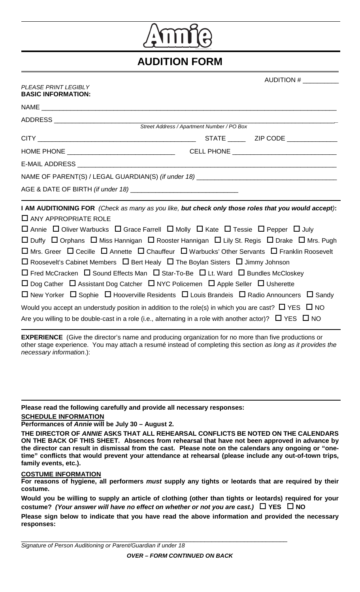

## **AUDITION FORM**

| PLEASE PRINT LEGIBLY |
|----------------------|
| BASIC INFORMATION:   |

AUDITION  $#_$ 

| אוטוואוט וויוו טוטאט.                                                                                                                                                                                                                                                                                                                                                                                                                                                                                                                                                                                                                                                                                                                                                                                                                                                                                                                                                                    |  |                                             |  |  |  |  |  |  |
|------------------------------------------------------------------------------------------------------------------------------------------------------------------------------------------------------------------------------------------------------------------------------------------------------------------------------------------------------------------------------------------------------------------------------------------------------------------------------------------------------------------------------------------------------------------------------------------------------------------------------------------------------------------------------------------------------------------------------------------------------------------------------------------------------------------------------------------------------------------------------------------------------------------------------------------------------------------------------------------|--|---------------------------------------------|--|--|--|--|--|--|
| NAME And the contract of the contract of the contract of the contract of the contract of the contract of the contract of the contract of the contract of the contract of the contract of the contract of the contract of the c                                                                                                                                                                                                                                                                                                                                                                                                                                                                                                                                                                                                                                                                                                                                                           |  |                                             |  |  |  |  |  |  |
|                                                                                                                                                                                                                                                                                                                                                                                                                                                                                                                                                                                                                                                                                                                                                                                                                                                                                                                                                                                          |  |                                             |  |  |  |  |  |  |
|                                                                                                                                                                                                                                                                                                                                                                                                                                                                                                                                                                                                                                                                                                                                                                                                                                                                                                                                                                                          |  |                                             |  |  |  |  |  |  |
|                                                                                                                                                                                                                                                                                                                                                                                                                                                                                                                                                                                                                                                                                                                                                                                                                                                                                                                                                                                          |  |                                             |  |  |  |  |  |  |
|                                                                                                                                                                                                                                                                                                                                                                                                                                                                                                                                                                                                                                                                                                                                                                                                                                                                                                                                                                                          |  | CELL PHONE ________________________________ |  |  |  |  |  |  |
|                                                                                                                                                                                                                                                                                                                                                                                                                                                                                                                                                                                                                                                                                                                                                                                                                                                                                                                                                                                          |  |                                             |  |  |  |  |  |  |
|                                                                                                                                                                                                                                                                                                                                                                                                                                                                                                                                                                                                                                                                                                                                                                                                                                                                                                                                                                                          |  |                                             |  |  |  |  |  |  |
|                                                                                                                                                                                                                                                                                                                                                                                                                                                                                                                                                                                                                                                                                                                                                                                                                                                                                                                                                                                          |  |                                             |  |  |  |  |  |  |
| I AM AUDITIONING FOR (Check as many as you like, but check only those roles that you would accept):<br>$\Box$ ANY APPROPRIATE ROLE<br>$\Box$ Annie $\Box$ Oliver Warbucks $\Box$ Grace Farrell $\Box$ Molly $\Box$ Kate $\Box$ Tessie $\Box$ Pepper $\Box$ July<br>$\Box$ Duffy $\Box$ Orphans $\Box$ Miss Hannigan $\Box$ Rooster Hannigan $\Box$ Lily St. Regis $\Box$ Drake $\Box$ Mrs. Pugh<br>$\Box$ Mrs. Greer $\Box$ Cecille $\Box$ Annette $\Box$ Chauffeur $\Box$ Warbucks' Other Servants $\Box$ Franklin Roosevelt<br>$\Box$ Roosevelt's Cabinet Members $\Box$ Bert Healy $\Box$ The Boylan Sisters $\Box$ Jimmy Johnson<br>$\Box$ Fred McCracken $\Box$ Sound Effects Man $\Box$ Star-To-Be $\Box$ Lt. Ward $\Box$ Bundles McCloskey<br>$\Box$ Dog Cather $\Box$ Assistant Dog Catcher $\Box$ NYC Policemen $\Box$ Apple Seller $\Box$ Usherette<br>$\Box$ New Yorker $\Box$ Sophie $\Box$ Hooverville Residents $\Box$ Louis Brandeis $\Box$ Radio Announcers $\Box$ Sandy |  |                                             |  |  |  |  |  |  |
| Would you accept an understudy position in addition to the role(s) in which you are cast? $\Box$ YES $\Box$ NO<br>Are you willing to be double-cast in a role (i.e., alternating in a role with another actor)? $\Box$ YES $\Box$ NO                                                                                                                                                                                                                                                                                                                                                                                                                                                                                                                                                                                                                                                                                                                                                     |  |                                             |  |  |  |  |  |  |

**EXPERIENCE** (Give the director's name and producing organization for no more than five productions or other stage experience. You may attach a resumé instead of completing this section *as long as it provides the necessary information*.):

**Please read the following carefully and provide all necessary responses: SCHEDULE INFORMATION**

## **Performances of** *Annie* **will be July 30 – August 2.**

| THE DIRECTOR OF <i>ANNIE</i> ASKS THAT ALL REHEARSAL CONFLICTS BE NOTED ON THE CALENDARS               |
|--------------------------------------------------------------------------------------------------------|
|                                                                                                        |
| ON THE BACK OF THIS SHEET. Absences from rehearsal that have not been approved in advance by           |
| the director can result in dismissal from the cast. Please note on the calendars any ongoing or "one-  |
| time" conflicts that would prevent your attendance at rehearsal (please include any out-of-town trips, |
| family events, etc.).                                                                                  |

## **COSTUME INFORMATION**

**For reasons of hygiene, all performers** *must* **supply any tights or leotards that are required by their costume.**

**Would you be willing to supply an article of clothing (other than tights or leotards) required for your costume?** *(Your answer will have no effect on whether or not you are cast.)* **YES NO**

**Please sign below to indicate that you have read the above information and provided the necessary responses:**